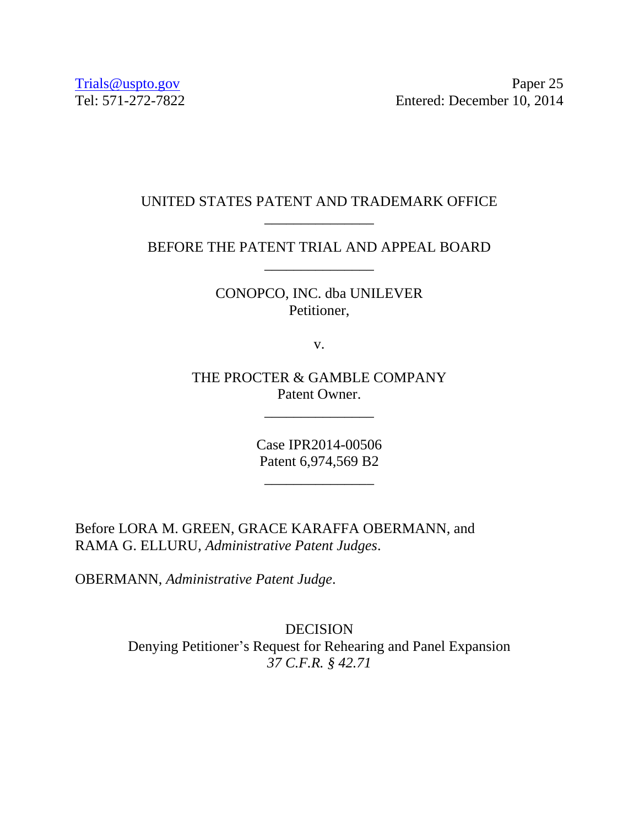[Trials@uspto.gov](mailto:Trials@uspto.gov) Paper 25 Tel: 571-272-7822 Entered: December 10, 2014

# UNITED STATES PATENT AND TRADEMARK OFFICE \_\_\_\_\_\_\_\_\_\_\_\_\_\_\_

BEFORE THE PATENT TRIAL AND APPEAL BOARD \_\_\_\_\_\_\_\_\_\_\_\_\_\_\_

> CONOPCO, INC. dba UNILEVER Petitioner,

> > v.

THE PROCTER & GAMBLE COMPANY Patent Owner.

\_\_\_\_\_\_\_\_\_\_\_\_\_\_\_

Case IPR2014-00506 Patent 6,974,569 B2

\_\_\_\_\_\_\_\_\_\_\_\_\_\_\_

Before LORA M. GREEN, GRACE KARAFFA OBERMANN, and RAMA G. ELLURU, *Administrative Patent Judges*.

OBERMANN, *Administrative Patent Judge*.

DECISION Denying Petitioner's Request for Rehearing and Panel Expansion *37 C.F.R. § 42.71*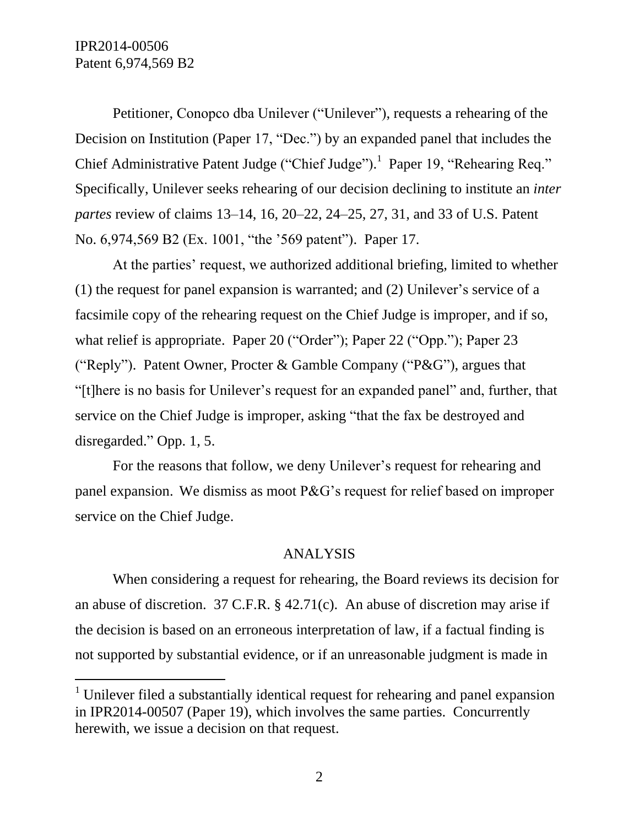IPR2014-00506 Patent 6,974,569 B2

 $\overline{a}$ 

Petitioner, Conopco dba Unilever ("Unilever"), requests a rehearing of the Decision on Institution (Paper 17, "Dec.") by an expanded panel that includes the Chief Administrative Patent Judge ("Chief Judge").<sup>1</sup> Paper 19, "Rehearing Req." Specifically, Unilever seeks rehearing of our decision declining to institute an *inter partes* review of claims 13–14, 16, 20–22, 24–25, 27, 31, and 33 of U.S. Patent No. 6,974,569 B2 (Ex. 1001, "the '569 patent"). Paper 17.

At the parties' request, we authorized additional briefing, limited to whether (1) the request for panel expansion is warranted; and (2) Unilever's service of a facsimile copy of the rehearing request on the Chief Judge is improper, and if so, what relief is appropriate. Paper 20 ("Order"); Paper 22 ("Opp."); Paper 23 ("Reply"). Patent Owner, Procter & Gamble Company ("P&G"), argues that "[t]here is no basis for Unilever's request for an expanded panel" and, further, that service on the Chief Judge is improper, asking "that the fax be destroyed and disregarded." Opp. 1, 5.

For the reasons that follow, we deny Unilever's request for rehearing and panel expansion. We dismiss as moot P&G's request for relief based on improper service on the Chief Judge.

### ANALYSIS

When considering a request for rehearing, the Board reviews its decision for an abuse of discretion. 37 C.F.R. § 42.71(c). An abuse of discretion may arise if the decision is based on an erroneous interpretation of law, if a factual finding is not supported by substantial evidence, or if an unreasonable judgment is made in

<sup>&</sup>lt;sup>1</sup> Unilever filed a substantially identical request for rehearing and panel expansion in IPR2014-00507 (Paper 19), which involves the same parties. Concurrently herewith, we issue a decision on that request.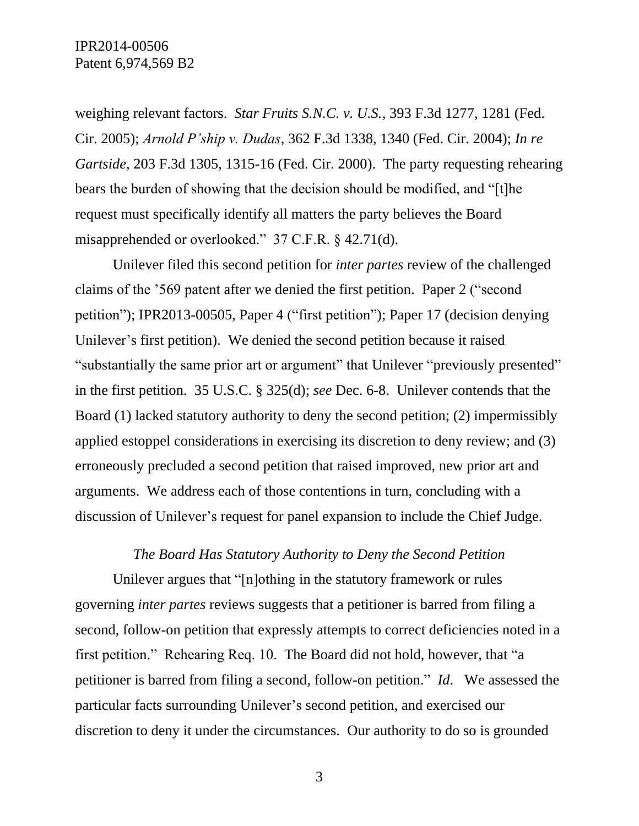weighing relevant factors. *Star Fruits S.N.C. v. U.S.*, 393 F.3d 1277, 1281 (Fed. Cir. 2005); *Arnold P'ship v. Dudas*, 362 F.3d 1338, 1340 (Fed. Cir. 2004); *In re Gartside*, 203 F.3d 1305, 1315-16 (Fed. Cir. 2000). The party requesting rehearing bears the burden of showing that the decision should be modified, and "[t]he request must specifically identify all matters the party believes the Board misapprehended or overlooked." 37 C.F.R. § 42.71(d).

Unilever filed this second petition for *inter partes* review of the challenged claims of the '569 patent after we denied the first petition. Paper 2 ("second petition"); IPR2013-00505, Paper 4 ("first petition"); Paper 17 (decision denying Unilever's first petition). We denied the second petition because it raised "substantially the same prior art or argument" that Unilever "previously presented" in the first petition. 35 U.S.C. § 325(d); *see* Dec. 6-8. Unilever contends that the Board (1) lacked statutory authority to deny the second petition; (2) impermissibly applied estoppel considerations in exercising its discretion to deny review; and (3) erroneously precluded a second petition that raised improved, new prior art and arguments. We address each of those contentions in turn, concluding with a discussion of Unilever's request for panel expansion to include the Chief Judge.

### *The Board Has Statutory Authority to Deny the Second Petition*

Unilever argues that "[n]othing in the statutory framework or rules governing *inter partes* reviews suggests that a petitioner is barred from filing a second, follow-on petition that expressly attempts to correct deficiencies noted in a first petition." Rehearing Req. 10. The Board did not hold, however, that "a petitioner is barred from filing a second, follow-on petition." *Id*. We assessed the particular facts surrounding Unilever's second petition, and exercised our discretion to deny it under the circumstances. Our authority to do so is grounded

3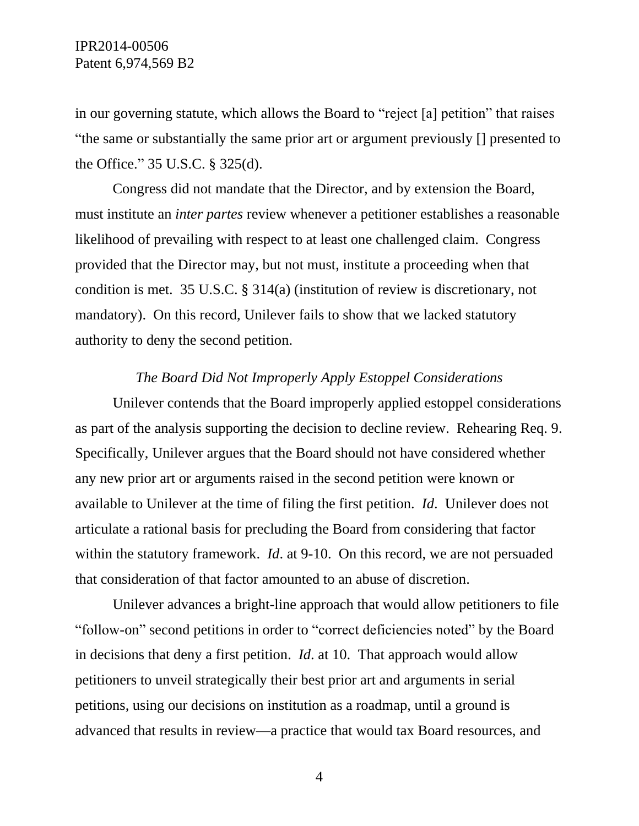in our governing statute, which allows the Board to "reject [a] petition" that raises "the same or substantially the same prior art or argument previously [] presented to the Office." 35 U.S.C. § 325(d).

Congress did not mandate that the Director, and by extension the Board, must institute an *inter partes* review whenever a petitioner establishes a reasonable likelihood of prevailing with respect to at least one challenged claim. Congress provided that the Director may, but not must, institute a proceeding when that condition is met. 35 U.S.C. § 314(a) (institution of review is discretionary, not mandatory). On this record, Unilever fails to show that we lacked statutory authority to deny the second petition.

### *The Board Did Not Improperly Apply Estoppel Considerations*

Unilever contends that the Board improperly applied estoppel considerations as part of the analysis supporting the decision to decline review. Rehearing Req. 9. Specifically, Unilever argues that the Board should not have considered whether any new prior art or arguments raised in the second petition were known or available to Unilever at the time of filing the first petition. *Id*. Unilever does not articulate a rational basis for precluding the Board from considering that factor within the statutory framework. *Id*. at 9-10. On this record, we are not persuaded that consideration of that factor amounted to an abuse of discretion.

Unilever advances a bright-line approach that would allow petitioners to file "follow-on" second petitions in order to "correct deficiencies noted" by the Board in decisions that deny a first petition. *Id*. at 10. That approach would allow petitioners to unveil strategically their best prior art and arguments in serial petitions, using our decisions on institution as a roadmap, until a ground is advanced that results in review—a practice that would tax Board resources, and

4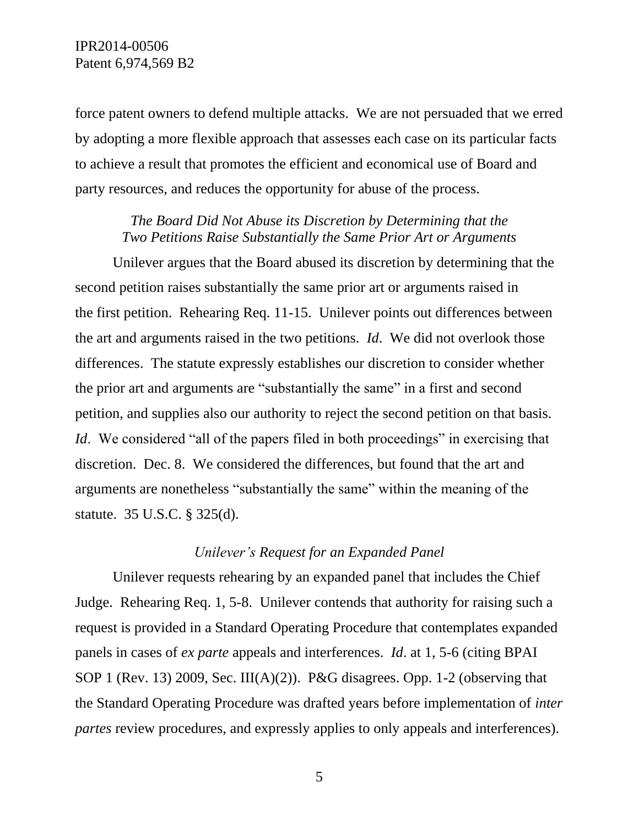force patent owners to defend multiple attacks. We are not persuaded that we erred by adopting a more flexible approach that assesses each case on its particular facts to achieve a result that promotes the efficient and economical use of Board and party resources, and reduces the opportunity for abuse of the process.

## *The Board Did Not Abuse its Discretion by Determining that the Two Petitions Raise Substantially the Same Prior Art or Arguments*

Unilever argues that the Board abused its discretion by determining that the second petition raises substantially the same prior art or arguments raised in the first petition. Rehearing Req. 11-15. Unilever points out differences between the art and arguments raised in the two petitions. *Id*. We did not overlook those differences. The statute expressly establishes our discretion to consider whether the prior art and arguments are "substantially the same" in a first and second petition, and supplies also our authority to reject the second petition on that basis. *Id.* We considered "all of the papers filed in both proceedings" in exercising that discretion. Dec. 8. We considered the differences, but found that the art and arguments are nonetheless "substantially the same" within the meaning of the statute. 35 U.S.C. § 325(d).

### *Unilever's Request for an Expanded Panel*

Unilever requests rehearing by an expanded panel that includes the Chief Judge. Rehearing Req. 1, 5-8. Unilever contends that authority for raising such a request is provided in a Standard Operating Procedure that contemplates expanded panels in cases of *ex parte* appeals and interferences. *Id*. at 1, 5-6 (citing BPAI SOP 1 (Rev. 13) 2009, Sec. III(A)(2)). P&G disagrees. Opp. 1-2 (observing that the Standard Operating Procedure was drafted years before implementation of *inter partes* review procedures, and expressly applies to only appeals and interferences).

5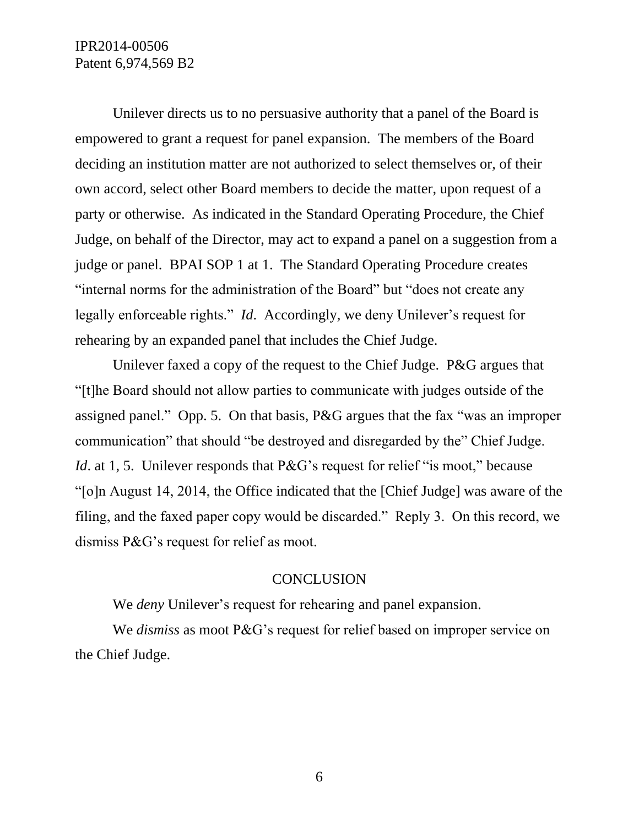IPR2014-00506 Patent 6,974,569 B2

Unilever directs us to no persuasive authority that a panel of the Board is empowered to grant a request for panel expansion. The members of the Board deciding an institution matter are not authorized to select themselves or, of their own accord, select other Board members to decide the matter, upon request of a party or otherwise. As indicated in the Standard Operating Procedure, the Chief Judge, on behalf of the Director, may act to expand a panel on a suggestion from a judge or panel. BPAI SOP 1 at 1. The Standard Operating Procedure creates "internal norms for the administration of the Board" but "does not create any legally enforceable rights." *Id*. Accordingly, we deny Unilever's request for rehearing by an expanded panel that includes the Chief Judge.

Unilever faxed a copy of the request to the Chief Judge. P&G argues that "[t]he Board should not allow parties to communicate with judges outside of the assigned panel." Opp. 5. On that basis, P&G argues that the fax "was an improper communication" that should "be destroyed and disregarded by the" Chief Judge. *Id.* at 1, 5. Unilever responds that P&G's request for relief "is moot," because "[o]n August 14, 2014, the Office indicated that the [Chief Judge] was aware of the filing, and the faxed paper copy would be discarded." Reply 3. On this record, we dismiss P&G's request for relief as moot.

### **CONCLUSION**

We *deny* Unilever's request for rehearing and panel expansion.

We *dismiss* as moot P&G's request for relief based on improper service on the Chief Judge.